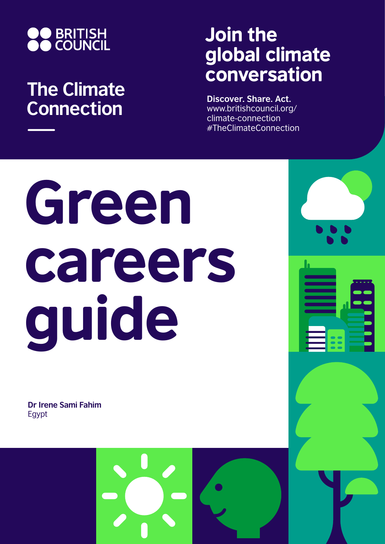

## **The Climate Connection**

## Join the global climate conversation

**Discover. Share. Act.** www.britishcouncil.org/ climate-connection #TheClimateConnection

# Green careers guide

**Dr Irene Sami Fahim** Egypt



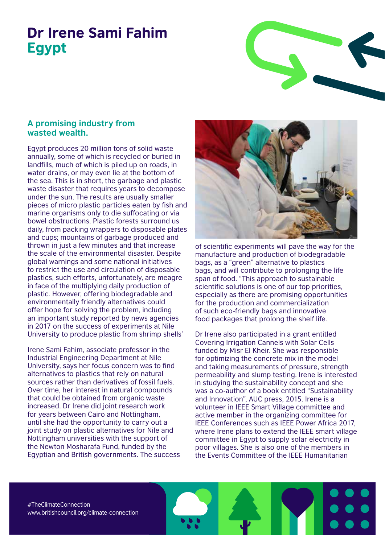### Dr Irene Sami Fahim Egypt



#### **A promising industry from wasted wealth.**

Egypt produces 20 million tons of solid waste annually, some of which is recycled or buried in landfills, much of which is piled up on roads, in water drains, or may even lie at the bottom of the sea. This is in short, the garbage and plastic waste disaster that requires years to decompose under the sun. The results are usually smaller pieces of micro plastic particles eaten by fish and marine organisms only to die suffocating or via bowel obstructions. Plastic forests surround us daily, from packing wrappers to disposable plates and cups; mountains of garbage produced and thrown in just a few minutes and that increase the scale of the environmental disaster. Despite global warnings and some national initiatives to restrict the use and circulation of disposable plastics, such efforts, unfortunately, are meagre in face of the multiplying daily production of plastic. However, offering biodegradable and environmentally friendly alternatives could offer hope for solving the problem, including an important study reported by news agencies in 2017 on the success of experiments at Nile University to produce plastic from shrimp shells'

Irene Sami Fahim, associate professor in the Industrial Engineering Department at Nile University, says her focus concern was to find alternatives to plastics that rely on natural sources rather than derivatives of fossil fuels. Over time, her interest in natural compounds that could be obtained from organic waste increased. Dr Irene did joint research work for years between Cairo and Nottingham, until she had the opportunity to carry out a joint study on plastic alternatives for Nile and Nottingham universities with the support of the Newton Mosharafa Fund, funded by the Egyptian and British governments. The success



of scientific experiments will pave the way for the manufacture and production of biodegradable bags, as a "green" alternative to plastics bags, and will contribute to prolonging the life span of food. "This approach to sustainable scientific solutions is one of our top priorities, especially as there are promising opportunities for the production and commercialization of such eco-friendly bags and innovative food packages that prolong the shelf life.

Dr Irene also participated in a grant entitled Covering Irrigation Cannels with Solar Cells funded by Misr El Kheir. She was responsible for optimizing the concrete mix in the model and taking measurements of pressure, strength permeability and slump testing. Irene is interested in studying the sustainability concept and she was a co-author of a book entitled "Sustainability and Innovation", AUC press, 2015. Irene is a volunteer in IEEE Smart Village committee and active member in the organizing committee for IEEE Conferences such as IEEE Power Africa 2017, where Irene plans to extend the IEEE smart village committee in Egypt to supply solar electricity in poor villages. She is also one of the members in the Events Committee of the IEEE Humanitarian

#TheClimateConnection www.britishcouncil.org/climate-connection